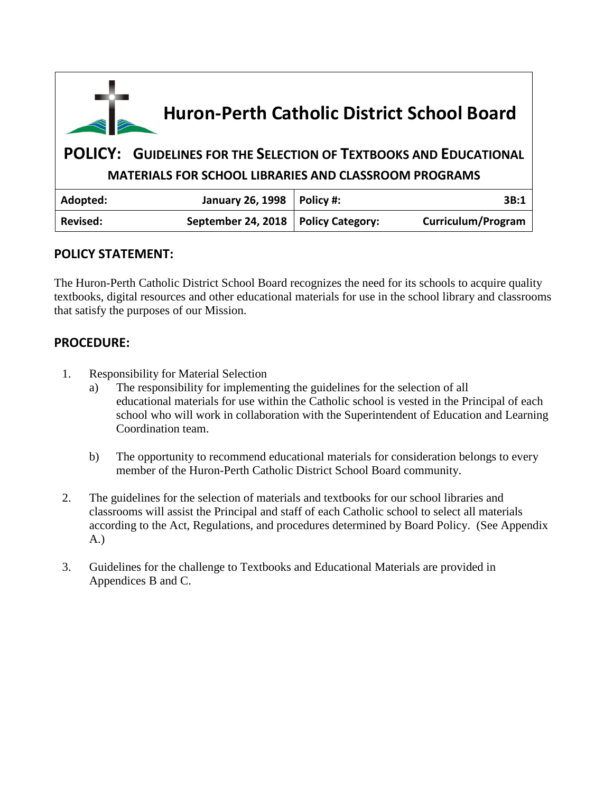| Huron-Perth Catholic District School Board            |                                                                          |                         |                    |  |
|-------------------------------------------------------|--------------------------------------------------------------------------|-------------------------|--------------------|--|
|                                                       | <b>POLICY: GUIDELINES FOR THE SELECTION OF TEXTBOOKS AND EDUCATIONAL</b> |                         |                    |  |
| MATERIALS FOR SCHOOL LIBRARIES AND CLASSROOM PROGRAMS |                                                                          |                         |                    |  |
| Adopted:                                              | <b>January 26, 1998</b>                                                  | Policy #:               | 3B:1               |  |
| Revised:                                              | September 24, 2018                                                       | <b>Policy Category:</b> | Curriculum/Program |  |

# **POLICY STATEMENT:**

The Huron-Perth Catholic District School Board recognizes the need for its schools to acquire quality textbooks, digital resources and other educational materials for use in the school library and classrooms that satisfy the purposes of our Mission.

# **PROCEDURE:**

- 1. Responsibility for Material Selection
	- a) The responsibility for implementing the guidelines for the selection of all educational materials for use within the Catholic school is vested in the Principal of each school who will work in collaboration with the Superintendent of Education and Learning Coordination team.
	- b) The opportunity to recommend educational materials for consideration belongs to every member of the Huron-Perth Catholic District School Board community.
- 2. The guidelines for the selection of materials and textbooks for our school libraries and classrooms will assist the Principal and staff of each Catholic school to select all materials according to the Act, Regulations, and procedures determined by Board Policy. (See Appendix A.)
- 3. Guidelines for the challenge to Textbooks and Educational Materials are provided in Appendices B and C.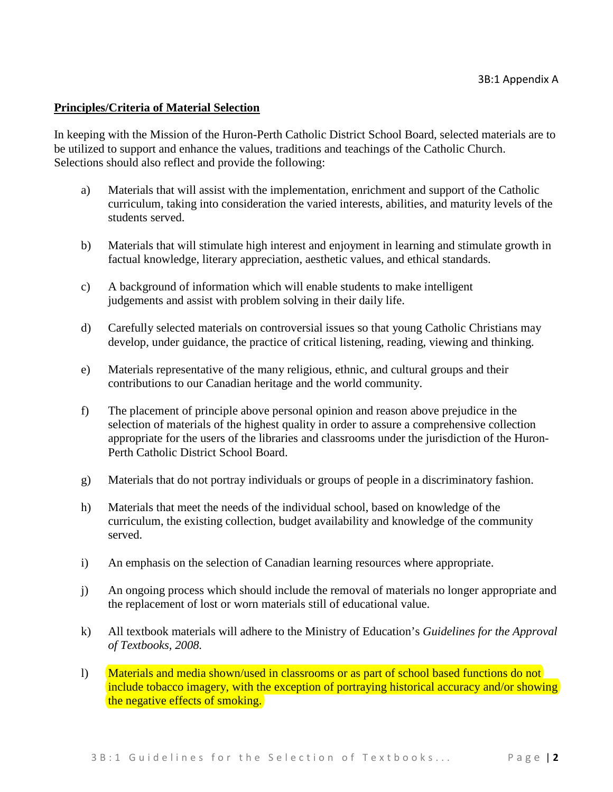#### **Principles/Criteria of Material Selection**

In keeping with the Mission of the Huron-Perth Catholic District School Board, selected materials are to be utilized to support and enhance the values, traditions and teachings of the Catholic Church. Selections should also reflect and provide the following:

- a) Materials that will assist with the implementation, enrichment and support of the Catholic curriculum, taking into consideration the varied interests, abilities, and maturity levels of the students served.
- b) Materials that will stimulate high interest and enjoyment in learning and stimulate growth in factual knowledge, literary appreciation, aesthetic values, and ethical standards.
- c) A background of information which will enable students to make intelligent judgements and assist with problem solving in their daily life.
- d) Carefully selected materials on controversial issues so that young Catholic Christians may develop, under guidance, the practice of critical listening, reading, viewing and thinking.
- e) Materials representative of the many religious, ethnic, and cultural groups and their contributions to our Canadian heritage and the world community.
- f) The placement of principle above personal opinion and reason above prejudice in the selection of materials of the highest quality in order to assure a comprehensive collection appropriate for the users of the libraries and classrooms under the jurisdiction of the Huron-Perth Catholic District School Board.
- g) Materials that do not portray individuals or groups of people in a discriminatory fashion.
- h) Materials that meet the needs of the individual school, based on knowledge of the curriculum, the existing collection, budget availability and knowledge of the community served.
- i) An emphasis on the selection of Canadian learning resources where appropriate.
- j) An ongoing process which should include the removal of materials no longer appropriate and the replacement of lost or worn materials still of educational value.
- k) All textbook materials will adhere to the Ministry of Education's *Guidelines for the Approval of Textbooks, 2008.*
- l) Materials and media shown/used in classrooms or as part of school based functions do not include tobacco imagery, with the exception of portraying historical accuracy and/or showing the negative effects of smoking.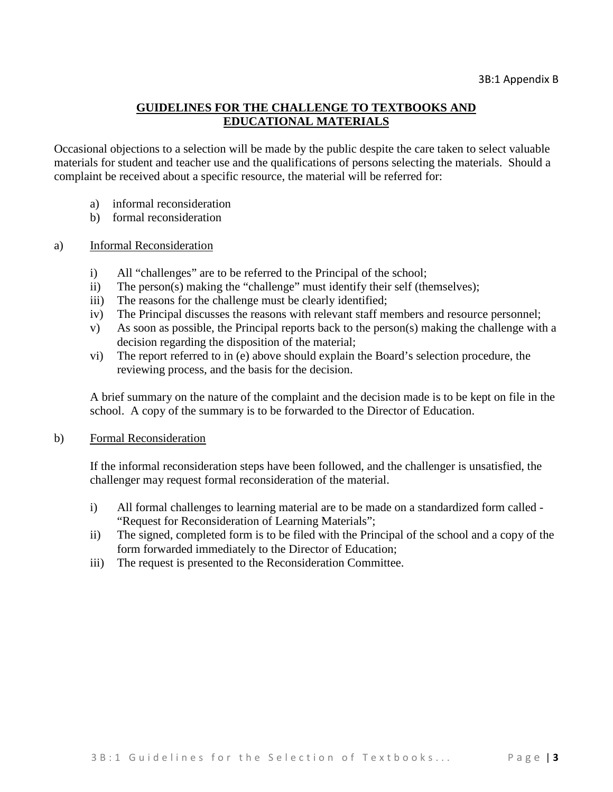### **GUIDELINES FOR THE CHALLENGE TO TEXTBOOKS AND EDUCATIONAL MATERIALS**

Occasional objections to a selection will be made by the public despite the care taken to select valuable materials for student and teacher use and the qualifications of persons selecting the materials. Should a complaint be received about a specific resource, the material will be referred for:

- a) informal reconsideration
- b) formal reconsideration

#### a) Informal Reconsideration

- i) All "challenges" are to be referred to the Principal of the school;
- ii) The person(s) making the "challenge" must identify their self (themselves);
- iii) The reasons for the challenge must be clearly identified;
- iv) The Principal discusses the reasons with relevant staff members and resource personnel;
- v) As soon as possible, the Principal reports back to the person(s) making the challenge with a decision regarding the disposition of the material;
- vi) The report referred to in (e) above should explain the Board's selection procedure, the reviewing process, and the basis for the decision.

A brief summary on the nature of the complaint and the decision made is to be kept on file in the school. A copy of the summary is to be forwarded to the Director of Education.

#### b) Formal Reconsideration

If the informal reconsideration steps have been followed, and the challenger is unsatisfied, the challenger may request formal reconsideration of the material.

- i) All formal challenges to learning material are to be made on a standardized form called "Request for Reconsideration of Learning Materials";
- ii) The signed, completed form is to be filed with the Principal of the school and a copy of the form forwarded immediately to the Director of Education;
- iii) The request is presented to the Reconsideration Committee.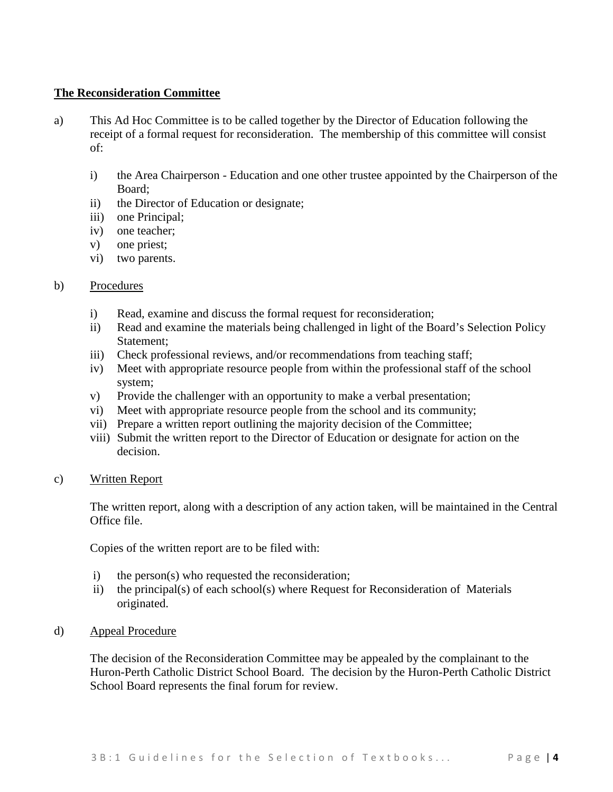#### **The Reconsideration Committee**

- a) This Ad Hoc Committee is to be called together by the Director of Education following the receipt of a formal request for reconsideration. The membership of this committee will consist of:
	- i) the Area Chairperson Education and one other trustee appointed by the Chairperson of the Board;
	- ii) the Director of Education or designate;
	- iii) one Principal;
	- iv) one teacher;
	- v) one priest;
	- vi) two parents.

#### b) Procedures

- i) Read, examine and discuss the formal request for reconsideration;
- ii) Read and examine the materials being challenged in light of the Board's Selection Policy Statement;
- iii) Check professional reviews, and/or recommendations from teaching staff;
- iv) Meet with appropriate resource people from within the professional staff of the school system;
- v) Provide the challenger with an opportunity to make a verbal presentation;
- vi) Meet with appropriate resource people from the school and its community;
- vii) Prepare a written report outlining the majority decision of the Committee;
- viii) Submit the written report to the Director of Education or designate for action on the decision.

#### c) Written Report

The written report, along with a description of any action taken, will be maintained in the Central Office file.

Copies of the written report are to be filed with:

- i) the person(s) who requested the reconsideration;
- ii) the principal(s) of each school(s) where Request for Reconsideration of Materials originated.
- d) Appeal Procedure

The decision of the Reconsideration Committee may be appealed by the complainant to the Huron-Perth Catholic District School Board. The decision by the Huron-Perth Catholic District School Board represents the final forum for review.